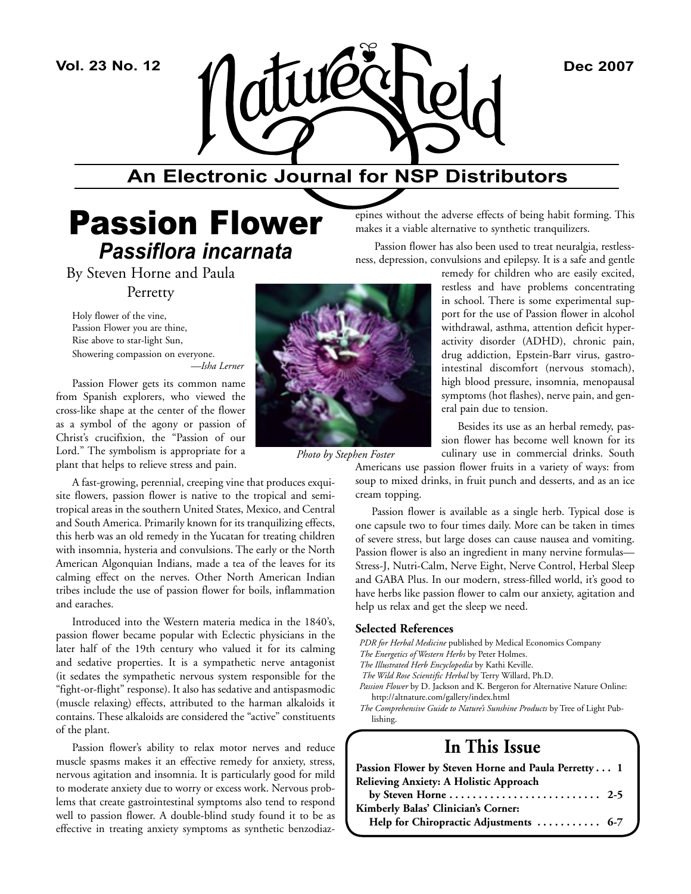

## **An Electronic Journal for NSP Distributors**

## Passion Flower *Passiflora incarnata*

By Steven Horne and Paula

Perretty

Holy flower of the vine, Passion Flower you are thine, Rise above to star-light Sun, Showering compassion on everyone. *—Isha Lerner* 

Passion Flower gets its common name from Spanish explorers, who viewed the cross-like shape at the center of the flower as a symbol of the agony or passion of Christ's crucifixion, the "Passion of our Lord." The symbolism is appropriate for a plant that helps to relieve stress and pain.

A fast-growing, perennial, creeping vine that produces exquisite flowers, passion flower is native to the tropical and semitropical areas in the southern United States, Mexico, and Central and South America. Primarily known for its tranquilizing effects, this herb was an old remedy in the Yucatan for treating children with insomnia, hysteria and convulsions. The early or the North American Algonquian Indians, made a tea of the leaves for its calming effect on the nerves. Other North American Indian tribes include the use of passion flower for boils, inflammation and earaches.

Introduced into the Western materia medica in the 1840's, passion flower became popular with Eclectic physicians in the later half of the 19th century who valued it for its calming and sedative properties. It is a sympathetic nerve antagonist (it sedates the sympathetic nervous system responsible for the "fight-or-flight" response). It also has sedative and antispasmodic (muscle relaxing) effects, attributed to the harman alkaloids it contains. These alkaloids are considered the "active" constituents of the plant.

Passion flower's ability to relax motor nerves and reduce muscle spasms makes it an effective remedy for anxiety, stress, nervous agitation and insomnia. It is particularly good for mild to moderate anxiety due to worry or excess work. Nervous problems that create gastrointestinal symptoms also tend to respond well to passion flower. A double-blind study found it to be as effective in treating anxiety symptoms as synthetic benzodiaz-



*Photo by Stephen Foster*

epines without the adverse effects of being habit forming. This makes it a viable alternative to synthetic tranquilizers.

 Passion flower has also been used to treat neuralgia, restlessness, depression, convulsions and epilepsy. It is a safe and gentle

remedy for children who are easily excited, restless and have problems concentrating in school. There is some experimental support for the use of Passion flower in alcohol withdrawal, asthma, attention deficit hyperactivity disorder (ADHD), chronic pain, drug addiction, Epstein-Barr virus, gastrointestinal discomfort (nervous stomach), high blood pressure, insomnia, menopausal symptoms (hot flashes), nerve pain, and general pain due to tension.

Besides its use as an herbal remedy, passion flower has become well known for its culinary use in commercial drinks. South

Americans use passion flower fruits in a variety of ways: from soup to mixed drinks, in fruit punch and desserts, and as an ice cream topping.

Passion flower is available as a single herb. Typical dose is one capsule two to four times daily. More can be taken in times of severe stress, but large doses can cause nausea and vomiting. Passion flower is also an ingredient in many nervine formulas— Stress-J, Nutri-Calm, Nerve Eight, Nerve Control, Herbal Sleep and GABA Plus. In our modern, stress-filled world, it's good to have herbs like passion flower to calm our anxiety, agitation and help us relax and get the sleep we need.

#### **Selected References**

*PDR for Herbal Medicine* published by Medical Economics Company

- *The Energetics of Western Herbs* by Peter Holmes.
- *The Illustrated Herb Encyclopedia* by Kathi Keville.
- *The Wild Rose Scientific Herbal* by Terry Willard, Ph.D.
- *Passion Flower* by D. Jackson and K. Bergeron for Alternative Nature Online: http://altnature.com/gallery/index.html
- *The Comprehensive Guide to Nature's Sunshine Products* by Tree of Light Publishing.

### **In This Issue**

| Passion Flower by Steven Horne and Paula Perretty 1                         |  |
|-----------------------------------------------------------------------------|--|
| Relieving Anxiety: A Holistic Approach                                      |  |
| by Steven Horne $\dots \dots \dots \dots \dots \dots \dots \dots \dots$ 2-5 |  |
| Kimberly Balas' Clinician's Corner:                                         |  |
| Help for Chiropractic Adjustments  6-7                                      |  |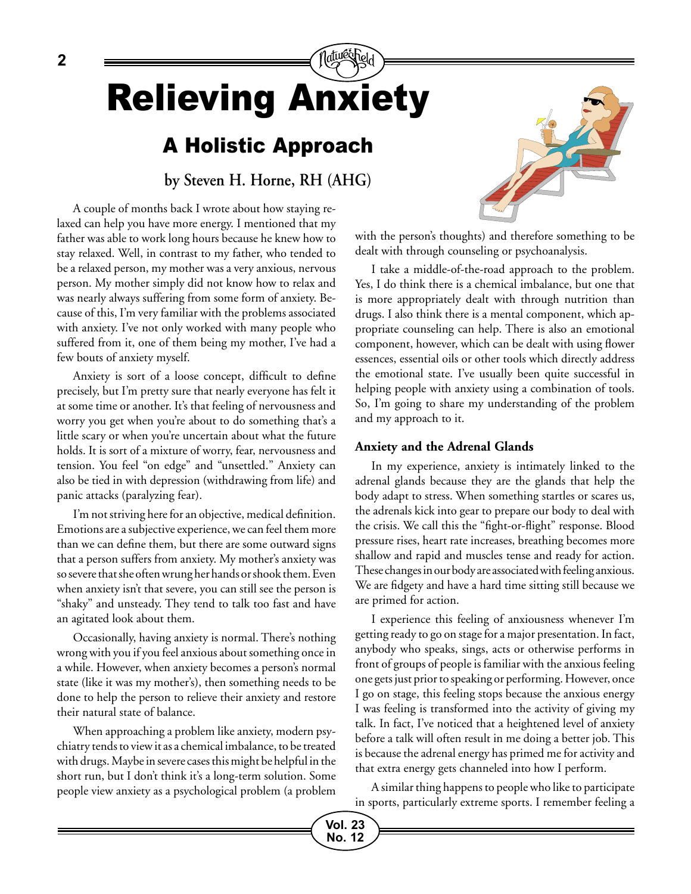# Relieving Anxiety

## A Holistic Approach

**by Steven H. Horne, RH (AHG)**

A couple of months back I wrote about how staying relaxed can help you have more energy. I mentioned that my father was able to work long hours because he knew how to stay relaxed. Well, in contrast to my father, who tended to be a relaxed person, my mother was a very anxious, nervous person. My mother simply did not know how to relax and was nearly always suffering from some form of anxiety. Because of this, I'm very familiar with the problems associated with anxiety. I've not only worked with many people who suffered from it, one of them being my mother, I've had a few bouts of anxiety myself.

Anxiety is sort of a loose concept, difficult to define precisely, but I'm pretty sure that nearly everyone has felt it at some time or another. It's that feeling of nervousness and worry you get when you're about to do something that's a little scary or when you're uncertain about what the future holds. It is sort of a mixture of worry, fear, nervousness and tension. You feel "on edge" and "unsettled." Anxiety can also be tied in with depression (withdrawing from life) and panic attacks (paralyzing fear).

I'm not striving here for an objective, medical definition. Emotions are a subjective experience, we can feel them more than we can define them, but there are some outward signs that a person suffers from anxiety. My mother's anxiety was so severe that she often wrung her hands or shook them. Even when anxiety isn't that severe, you can still see the person is "shaky" and unsteady. They tend to talk too fast and have an agitated look about them.

Occasionally, having anxiety is normal. There's nothing wrong with you if you feel anxious about something once in a while. However, when anxiety becomes a person's normal state (like it was my mother's), then something needs to be done to help the person to relieve their anxiety and restore their natural state of balance.

When approaching a problem like anxiety, modern psychiatry tends to view it as a chemical imbalance, to be treated with drugs. Maybe in severe cases this might be helpful in the short run, but I don't think it's a long-term solution. Some people view anxiety as a psychological problem (a problem



with the person's thoughts) and therefore something to be dealt with through counseling or psychoanalysis.

I take a middle-of-the-road approach to the problem. Yes, I do think there is a chemical imbalance, but one that is more appropriately dealt with through nutrition than drugs. I also think there is a mental component, which appropriate counseling can help. There is also an emotional component, however, which can be dealt with using flower essences, essential oils or other tools which directly address the emotional state. I've usually been quite successful in helping people with anxiety using a combination of tools. So, I'm going to share my understanding of the problem and my approach to it.

#### **Anxiety and the Adrenal Glands**

In my experience, anxiety is intimately linked to the adrenal glands because they are the glands that help the body adapt to stress. When something startles or scares us, the adrenals kick into gear to prepare our body to deal with the crisis. We call this the "fight-or-flight" response. Blood pressure rises, heart rate increases, breathing becomes more shallow and rapid and muscles tense and ready for action. These changes in our body are associated with feeling anxious. We are fidgety and have a hard time sitting still because we are primed for action.

I experience this feeling of anxiousness whenever I'm getting ready to go on stage for a major presentation. In fact, anybody who speaks, sings, acts or otherwise performs in front of groups of people is familiar with the anxious feeling one gets just prior to speaking or performing. However, once I go on stage, this feeling stops because the anxious energy I was feeling is transformed into the activity of giving my talk. In fact, I've noticed that a heightened level of anxiety before a talk will often result in me doing a better job. This is because the adrenal energy has primed me for activity and that extra energy gets channeled into how I perform.

A similar thing happens to people who like to participate in sports, particularly extreme sports. I remember feeling a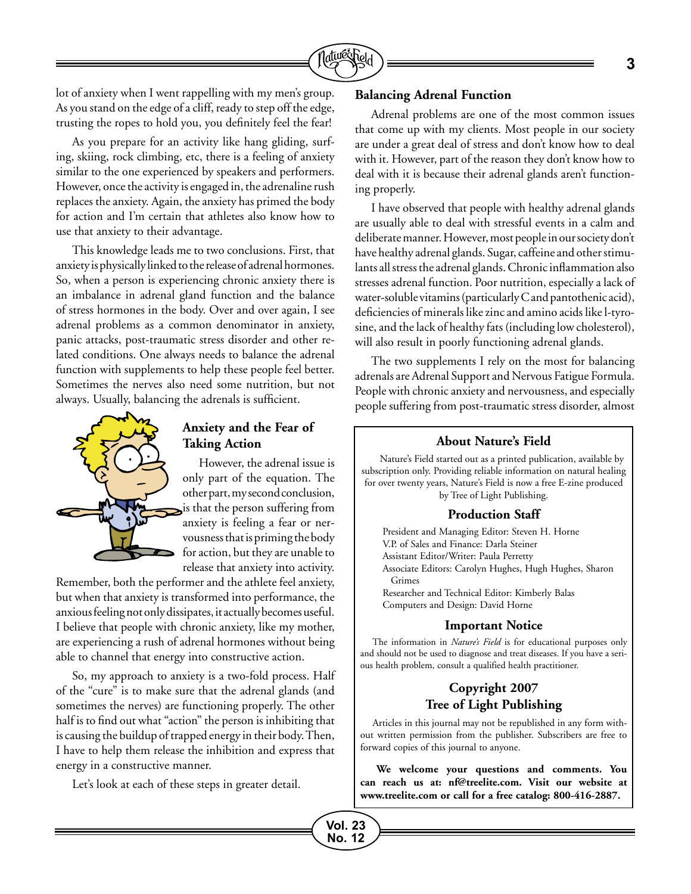

lot of anxiety when I went rappelling with my men's group. As you stand on the edge of a cliff, ready to step off the edge, trusting the ropes to hold you, you definitely feel the fear!

As you prepare for an activity like hang gliding, surfing, skiing, rock climbing, etc, there is a feeling of anxiety similar to the one experienced by speakers and performers. However, once the activity is engaged in, the adrenaline rush replaces the anxiety. Again, the anxiety has primed the body for action and I'm certain that athletes also know how to use that anxiety to their advantage.

This knowledge leads me to two conclusions. First, that anxiety is physically linked to the release of adrenal hormones. So, when a person is experiencing chronic anxiety there is an imbalance in adrenal gland function and the balance of stress hormones in the body. Over and over again, I see adrenal problems as a common denominator in anxiety, panic attacks, post-traumatic stress disorder and other related conditions. One always needs to balance the adrenal function with supplements to help these people feel better. Sometimes the nerves also need some nutrition, but not always. Usually, balancing the adrenals is sufficient.



#### **Anxiety and the Fear of Taking Action**

However, the adrenal issue is only part of the equation. The other part, my second conclusion, is that the person suffering from anxiety is feeling a fear or nervousness that is priming the body for action, but they are unable to release that anxiety into activity.

> **Vol. 23 No. 12**

Remember, both the performer and the athlete feel anxiety, but when that anxiety is transformed into performance, the anxious feeling not only dissipates, it actually becomes useful. I believe that people with chronic anxiety, like my mother, are experiencing a rush of adrenal hormones without being able to channel that energy into constructive action.

So, my approach to anxiety is a two-fold process. Half of the "cure" is to make sure that the adrenal glands (and sometimes the nerves) are functioning properly. The other half is to find out what "action" the person is inhibiting that is causing the buildup of trapped energy in their body. Then, I have to help them release the inhibition and express that energy in a constructive manner.

Let's look at each of these steps in greater detail.

#### **Balancing Adrenal Function**

Adrenal problems are one of the most common issues that come up with my clients. Most people in our society are under a great deal of stress and don't know how to deal with it. However, part of the reason they don't know how to deal with it is because their adrenal glands aren't functioning properly.

I have observed that people with healthy adrenal glands are usually able to deal with stressful events in a calm and deliberate manner. However, most people in our society don't have healthy adrenal glands. Sugar, caffeine and other stimulants all stress the adrenal glands. Chronic inflammation also stresses adrenal function. Poor nutrition, especially a lack of water-soluble vitamins (particularly C and pantothenic acid), deficiencies of minerals like zinc and amino acids like l-tyrosine, and the lack of healthy fats (including low cholesterol), will also result in poorly functioning adrenal glands.

The two supplements I rely on the most for balancing adrenals are Adrenal Support and Nervous Fatigue Formula. People with chronic anxiety and nervousness, and especially people suffering from post-traumatic stress disorder, almost

#### **About Nature's Field**

Nature's Field started out as a printed publication, available by subscription only. Providing reliable information on natural healing for over twenty years, Nature's Field is now a free E-zine produced by Tree of Light Publishing.

#### **Production Staff**

President and Managing Editor: Steven H. Horne V.P. of Sales and Finance: Darla Steiner Assistant Editor/Writer: Paula Perretty Associate Editors: Carolyn Hughes, Hugh Hughes, Sharon Grimes Researcher and Technical Editor: Kimberly Balas Computers and Design: David Horne

#### **Important Notice**

The information in *Nature's Field* is for educational purposes only and should not be used to diagnose and treat diseases. If you have a serious health problem, consult a qualified health practitioner.

#### **Copyright 2007 Tree of Light Publishing**

Articles in this journal may not be republished in any form without written permission from the publisher. Subscribers are free to forward copies of this journal to anyone.

**We welcome your questions and comments. You can reach us at: nf@treelite.com. Visit our website at www.treelite.com or call for a free catalog: 800-416-2887.**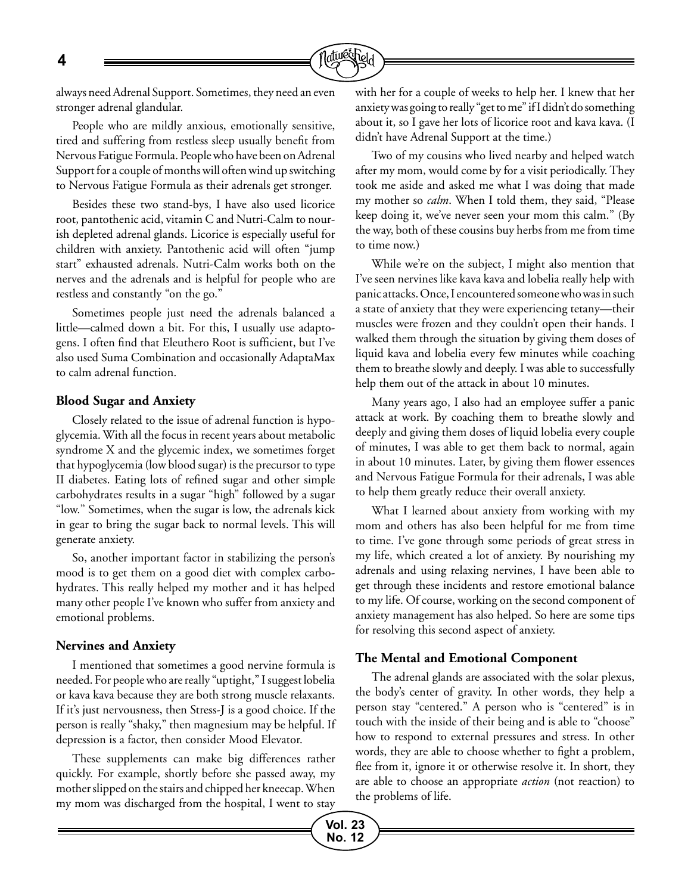

always need Adrenal Support. Sometimes, they need an even stronger adrenal glandular.

People who are mildly anxious, emotionally sensitive, tired and suffering from restless sleep usually benefit from Nervous Fatigue Formula. People who have been on Adrenal Support for a couple of months will often wind up switching to Nervous Fatigue Formula as their adrenals get stronger.

Besides these two stand-bys, I have also used licorice root, pantothenic acid, vitamin C and Nutri-Calm to nourish depleted adrenal glands. Licorice is especially useful for children with anxiety. Pantothenic acid will often "jump start" exhausted adrenals. Nutri-Calm works both on the nerves and the adrenals and is helpful for people who are restless and constantly "on the go."

Sometimes people just need the adrenals balanced a little—calmed down a bit. For this, I usually use adaptogens. I often find that Eleuthero Root is sufficient, but I've also used Suma Combination and occasionally AdaptaMax to calm adrenal function.

#### **Blood Sugar and Anxiety**

Closely related to the issue of adrenal function is hypoglycemia. With all the focus in recent years about metabolic syndrome X and the glycemic index, we sometimes forget that hypoglycemia (low blood sugar) is the precursor to type II diabetes. Eating lots of refined sugar and other simple carbohydrates results in a sugar "high" followed by a sugar "low." Sometimes, when the sugar is low, the adrenals kick in gear to bring the sugar back to normal levels. This will generate anxiety.

So, another important factor in stabilizing the person's mood is to get them on a good diet with complex carbohydrates. This really helped my mother and it has helped many other people I've known who suffer from anxiety and emotional problems.

#### **Nervines and Anxiety**

I mentioned that sometimes a good nervine formula is needed. For people who are really "uptight," I suggest lobelia or kava kava because they are both strong muscle relaxants. If it's just nervousness, then Stress-J is a good choice. If the person is really "shaky," then magnesium may be helpful. If depression is a factor, then consider Mood Elevator.

These supplements can make big differences rather quickly. For example, shortly before she passed away, my mother slipped on the stairs and chipped her kneecap. When my mom was discharged from the hospital, I went to stay with her for a couple of weeks to help her. I knew that her anxiety was going to really "get to me" if I didn't do something about it, so I gave her lots of licorice root and kava kava. (I didn't have Adrenal Support at the time.)

Two of my cousins who lived nearby and helped watch after my mom, would come by for a visit periodically. They took me aside and asked me what I was doing that made my mother so *calm*. When I told them, they said, "Please keep doing it, we've never seen your mom this calm." (By the way, both of these cousins buy herbs from me from time to time now.)

While we're on the subject, I might also mention that I've seen nervines like kava kava and lobelia really help with panic attacks. Once, I encountered someone who was in such a state of anxiety that they were experiencing tetany—their muscles were frozen and they couldn't open their hands. I walked them through the situation by giving them doses of liquid kava and lobelia every few minutes while coaching them to breathe slowly and deeply. I was able to successfully help them out of the attack in about 10 minutes.

Many years ago, I also had an employee suffer a panic attack at work. By coaching them to breathe slowly and deeply and giving them doses of liquid lobelia every couple of minutes, I was able to get them back to normal, again in about 10 minutes. Later, by giving them flower essences and Nervous Fatigue Formula for their adrenals, I was able to help them greatly reduce their overall anxiety.

What I learned about anxiety from working with my mom and others has also been helpful for me from time to time. I've gone through some periods of great stress in my life, which created a lot of anxiety. By nourishing my adrenals and using relaxing nervines, I have been able to get through these incidents and restore emotional balance to my life. Of course, working on the second component of anxiety management has also helped. So here are some tips for resolving this second aspect of anxiety.

#### **The Mental and Emotional Component**

The adrenal glands are associated with the solar plexus, the body's center of gravity. In other words, they help a person stay "centered." A person who is "centered" is in touch with the inside of their being and is able to "choose" how to respond to external pressures and stress. In other words, they are able to choose whether to fight a problem, flee from it, ignore it or otherwise resolve it. In short, they are able to choose an appropriate *action* (not reaction) to the problems of life.

**4**

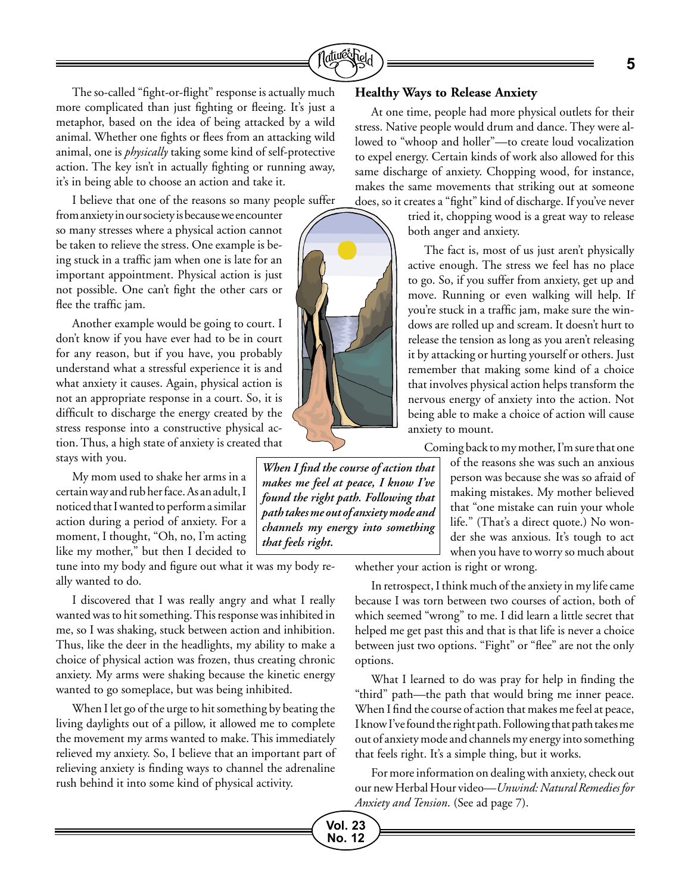

The so-called "fight-or-flight" response is actually much more complicated than just fighting or fleeing. It's just a metaphor, based on the idea of being attacked by a wild animal. Whether one fights or flees from an attacking wild animal, one is *physically* taking some kind of self-protective action. The key isn't in actually fighting or running away, it's in being able to choose an action and take it.

I believe that one of the reasons so many people suffer

from anxiety in our society is because we encounter so many stresses where a physical action cannot be taken to relieve the stress. One example is being stuck in a traffic jam when one is late for an important appointment. Physical action is just not possible. One can't fight the other cars or flee the traffic jam.

Another example would be going to court. I don't know if you have ever had to be in court for any reason, but if you have, you probably understand what a stressful experience it is and what anxiety it causes. Again, physical action is not an appropriate response in a court. So, it is difficult to discharge the energy created by the stress response into a constructive physical action. Thus, a high state of anxiety is created that stays with you.

My mom used to shake her arms in a certain way and rub her face. As an adult, I noticed that I wanted to perform a similar action during a period of anxiety. For a moment, I thought, "Oh, no, I'm acting like my mother," but then I decided to

tune into my body and figure out what it was my body really wanted to do.

I discovered that I was really angry and what I really wanted was to hit something. This response was inhibited in me, so I was shaking, stuck between action and inhibition. Thus, like the deer in the headlights, my ability to make a choice of physical action was frozen, thus creating chronic anxiety. My arms were shaking because the kinetic energy wanted to go someplace, but was being inhibited.

When I let go of the urge to hit something by beating the living daylights out of a pillow, it allowed me to complete the movement my arms wanted to make. This immediately relieved my anxiety. So, I believe that an important part of relieving anxiety is finding ways to channel the adrenaline rush behind it into some kind of physical activity.

#### **Healthy Ways to Release Anxiety**

At one time, people had more physical outlets for their stress. Native people would drum and dance. They were allowed to "whoop and holler"—to create loud vocalization to expel energy. Certain kinds of work also allowed for this same discharge of anxiety. Chopping wood, for instance, makes the same movements that striking out at someone does, so it creates a "fight" kind of discharge. If you've never

> tried it, chopping wood is a great way to release both anger and anxiety.

The fact is, most of us just aren't physically active enough. The stress we feel has no place to go. So, if you suffer from anxiety, get up and move. Running or even walking will help. If you're stuck in a traffic jam, make sure the windows are rolled up and scream. It doesn't hurt to release the tension as long as you aren't releasing it by attacking or hurting yourself or others. Just remember that making some kind of a choice that involves physical action helps transform the nervous energy of anxiety into the action. Not being able to make a choice of action will cause anxiety to mount.

Coming back to my mother, I'm sure that one of the reasons she was such an anxious person was because she was so afraid of making mistakes. My mother believed that "one mistake can ruin your whole life." (That's a direct quote.) No wonder she was anxious. It's tough to act when you have to worry so much about

whether your action is right or wrong.

In retrospect, I think much of the anxiety in my life came because I was torn between two courses of action, both of which seemed "wrong" to me. I did learn a little secret that helped me get past this and that is that life is never a choice between just two options. "Fight" or "flee" are not the only options.

What I learned to do was pray for help in finding the "third" path—the path that would bring me inner peace. When I find the course of action that makes me feel at peace, I know I've found the right path. Following that path takes me out of anxiety mode and channels my energy into something that feels right. It's a simple thing, but it works.

For more information on dealing with anxiety, check out our new Herbal Hour video—*Unwind: Natural Remedies for Anxiety and Tension*. (See ad page 7).



*When I find the course of action that makes me feel at peace, I know I've found the right path. Following that path takes me out of anxiety mode and channels my energy into something that feels right.*

> **Vol. 23 No. 12**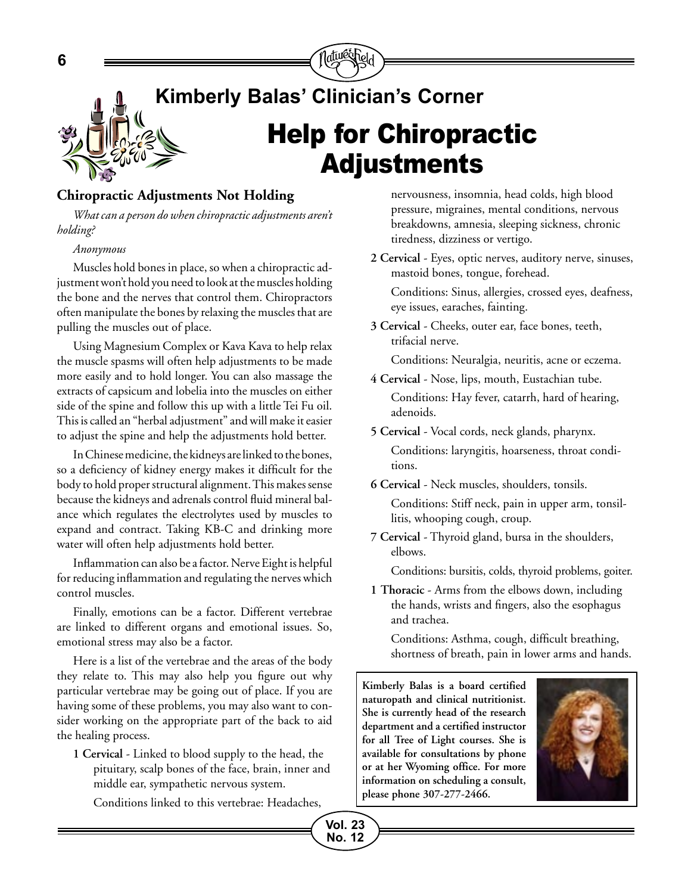

#### **Chiropractic Adjustments Not Holding**

*What can a person do when chiropractic adjustments aren't holding?* 

#### *Anonymous*

Muscles hold bones in place, so when a chiropractic adjustment won't hold you need to look at the muscles holding the bone and the nerves that control them. Chiropractors often manipulate the bones by relaxing the muscles that are pulling the muscles out of place.

Using Magnesium Complex or Kava Kava to help relax the muscle spasms will often help adjustments to be made more easily and to hold longer. You can also massage the extracts of capsicum and lobelia into the muscles on either side of the spine and follow this up with a little Tei Fu oil. This is called an "herbal adjustment" and will make it easier to adjust the spine and help the adjustments hold better.

In Chinese medicine, the kidneys are linked to the bones, so a deficiency of kidney energy makes it difficult for the body to hold proper structural alignment. This makes sense because the kidneys and adrenals control fluid mineral balance which regulates the electrolytes used by muscles to expand and contract. Taking KB-C and drinking more water will often help adjustments hold better.

Inflammation can also be a factor. Nerve Eight is helpful for reducing inflammation and regulating the nerves which control muscles.

Finally, emotions can be a factor. Different vertebrae are linked to different organs and emotional issues. So, emotional stress may also be a factor.

Here is a list of the vertebrae and the areas of the body they relate to. This may also help you figure out why particular vertebrae may be going out of place. If you are having some of these problems, you may also want to consider working on the appropriate part of the back to aid the healing process.

**1 Cervical** - Linked to blood supply to the head, the pituitary, scalp bones of the face, brain, inner and middle ear, sympathetic nervous system.

Conditions linked to this vertebrae: Headaches,

nervousness, insomnia, head colds, high blood pressure, migraines, mental conditions, nervous breakdowns, amnesia, sleeping sickness, chronic tiredness, dizziness or vertigo.

**2 Cervical** - Eyes, optic nerves, auditory nerve, sinuses, mastoid bones, tongue, forehead.

Conditions: Sinus, allergies, crossed eyes, deafness, eye issues, earaches, fainting.

**3 Cervical** - Cheeks, outer ear, face bones, teeth, trifacial nerve.

Conditions: Neuralgia, neuritis, acne or eczema.

- **4 Cervical** Nose, lips, mouth, Eustachian tube. Conditions: Hay fever, catarrh, hard of hearing, adenoids.
- **5 Cervical** Vocal cords, neck glands, pharynx. Conditions: laryngitis, hoarseness, throat conditions.
- **6 Cervical** Neck muscles, shoulders, tonsils. Conditions: Stiff neck, pain in upper arm, tonsillitis, whooping cough, croup.
- **7 Cervical** Thyroid gland, bursa in the shoulders, elbows.

Conditions: bursitis, colds, thyroid problems, goiter.

**1 Thoracic** - Arms from the elbows down, including the hands, wrists and fingers, also the esophagus and trachea.

Conditions: Asthma, cough, difficult breathing, shortness of breath, pain in lower arms and hands.

**Kimberly Balas is a board certified naturopath and clinical nutritionist. She is currently head of the research department and a certified instructor for all Tree of Light courses. She is available for consultations by phone or at her Wyoming office. For more information on scheduling a consult, please phone 307-277-2466.**



**Vol. 23 No. 12**